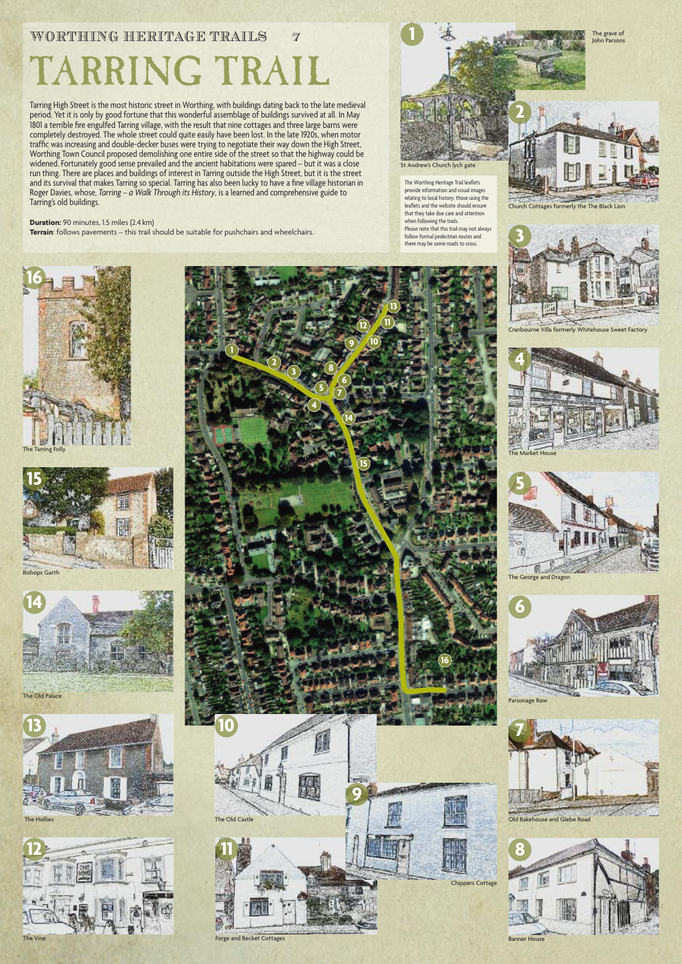## WORTHING HERITAGE TRAILS 7 TARRING TRAIL

Tarring High Street is the most historic street in Worthing, with buildings dating back to the late medieval period. Yet it is only by good fortune that this wonderful assemblage of buildings survived at all. In May 1801 a terrible fire engulfed Tarring village, with the result that nine cottages and three large barns were completely destroyed. The whole street could quite easily have been lost. In the late 1920s, when motor traffic was increasing and double-decker buses were trying to negotiate their way down the High Street, Worthing Town Council proposed demolishing one entire side of the street so that the highway could be widened. Fortunately good sense prevailed and the ancient habitations were spared – but it was a close run thing. There are places and buildings of interest in Tarring outside the High Street, but it is the street and its survival that makes Tarring so special. Tarring has also been lucky to have a fine village historian in Roger Davies, whose, *Tarring – a Walk Through its History*, is a learned and comprehensive guide to Tarring's old buildings.

**Duration:** 90 minutes, 1.5 miles (2.4 km)

**Terrain**: follows pavements – this trail should be suitable for pushchairs and wheelchairs.

Church Cottages formerly the The Black Lion

The grave of John Parsons

Cranbourne Villa formerly Whitehouse Sweet Factory





The George and Dragon

**5**







The Old Palace







**7**

Banner House









The Hollies

The Worthing Heritage Trail leaflets provide information and visual images relating to local history: those using the leaflets and the website should ensure that they take due care and attention when following the trails. Please note that this trail may not always follow formal pedestrian routes and there may be some roads to cross.